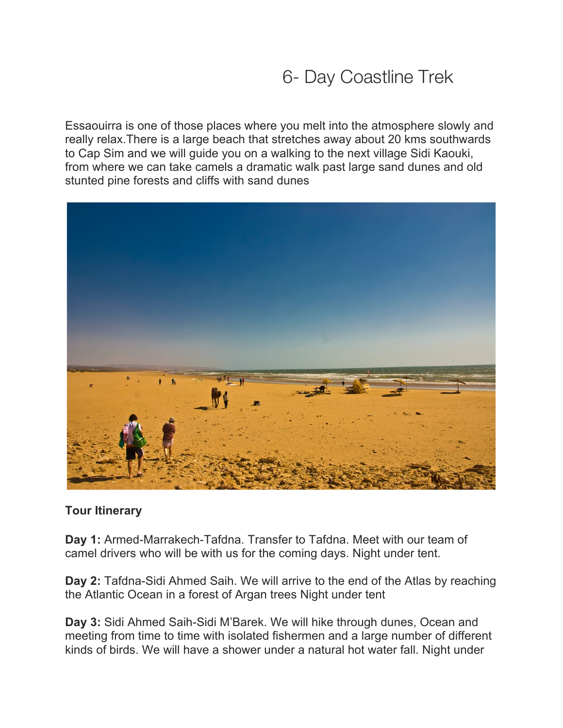## 6- Day Coastline Trek

Essaouirra is one of those places where you melt into the atmosphere slowly and really relax.There is a large beach that stretches away about 20 kms southwards to Cap Sim and we will guide you on a walking to the next village Sidi Kaouki, from where we can take camels a dramatic walk past large sand dunes and old stunted pine forests and cliffs with sand dunes



## **Tour Itinerary**

**Day 1:** Armed-Marrakech-Tafdna. Transfer to Tafdna. Meet with our team of camel drivers who will be with us for the coming days. Night under tent.

**Day 2:** Tafdna-Sidi Ahmed Saih. We will arrive to the end of the Atlas by reaching the Atlantic Ocean in a forest of Argan trees Night under tent

**Day 3:** Sidi Ahmed Saih-Sidi M'Barek. We will hike through dunes, Ocean and meeting from time to time with isolated fishermen and a large number of different kinds of birds. We will have a shower under a natural hot water fall. Night under